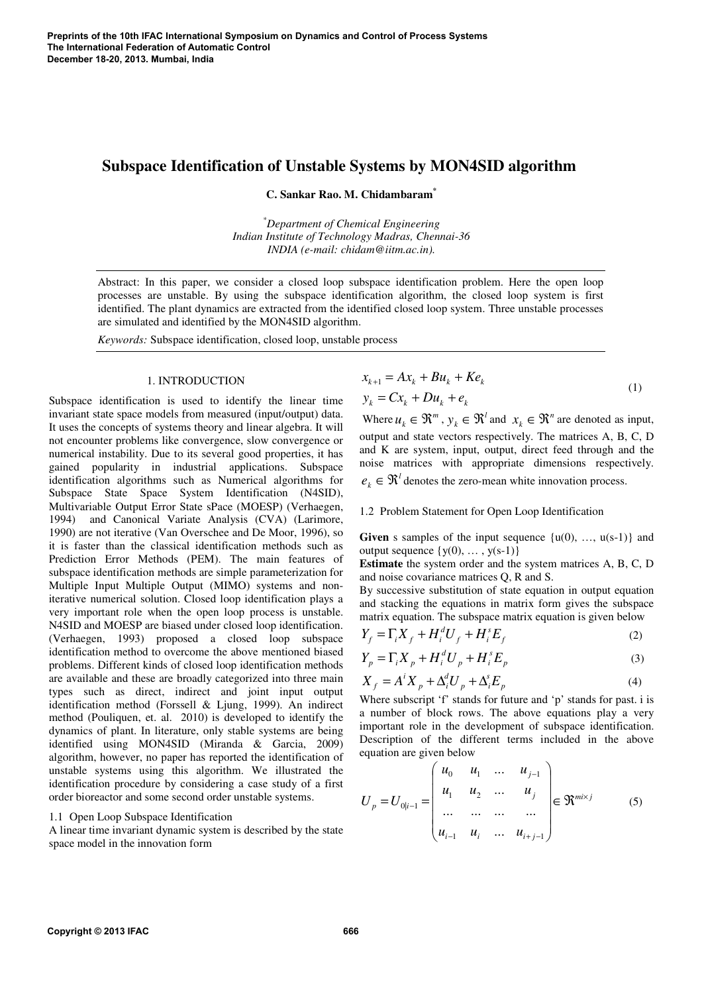# **Subspace Identification of Unstable Systems by MON4SID algorithm**

**C. Sankar Rao. M. Chidambaram\***

*\*Department of Chemical Engineering Indian Institute of Technology Madras, Chennai-36 INDIA (e-mail: chidam@iitm.ac.in).* 

Abstract: In this paper, we consider a closed loop subspace identification problem. Here the open loop processes are unstable. By using the subspace identification algorithm, the closed loop system is first identified. The plant dynamics are extracted from the identified closed loop system. Three unstable processes are simulated and identified by the MON4SID algorithm.

*Keywords:* Subspace identification, closed loop, unstable process

#### 1. INTRODUCTION

Subspace identification is used to identify the linear time invariant state space models from measured (input/output) data. It uses the concepts of systems theory and linear algebra. It will not encounter problems like convergence, slow convergence or numerical instability. Due to its several good properties, it has gained popularity in industrial applications. Subspace identification algorithms such as Numerical algorithms for Subspace State Space System Identification (N4SID), Multivariable Output Error State sPace (MOESP) (Verhaegen, 1994) and Canonical Variate Analysis (CVA) (Larimore, 1990) are not iterative (Van Overschee and De Moor, 1996), so it is faster than the classical identification methods such as Prediction Error Methods (PEM). The main features of subspace identification methods are simple parameterization for Multiple Input Multiple Output (MIMO) systems and noniterative numerical solution. Closed loop identification plays a very important role when the open loop process is unstable. N4SID and MOESP are biased under closed loop identification. (Verhaegen, 1993) proposed a closed loop subspace identification method to overcome the above mentioned biased problems. Different kinds of closed loop identification methods are available and these are broadly categorized into three main types such as direct, indirect and joint input output identification method (Forssell & Ljung, 1999). An indirect method (Pouliquen, et. al. 2010) is developed to identify the dynamics of plant. In literature, only stable systems are being identified using MON4SID (Miranda & Garcia, 2009) algorithm, however, no paper has reported the identification of unstable systems using this algorithm. We illustrated the identification procedure by considering a case study of a first order bioreactor and some second order unstable systems.

#### 1.1 Open Loop Subspace Identification

A linear time invariant dynamic system is described by the state space model in the innovation form

$$
x_{k+1} = Ax_k + Bu_k + Ke_k
$$
  
\n
$$
y_k = Cx_k + Du_k + e_k
$$
\n(1)

Where  $u_k \in \mathfrak{R}^m$ ,  $y_k \in \mathfrak{R}^l$  $y_k \in \mathfrak{R}^l$  and  $x_k \in \mathfrak{R}^n$  are denoted as input, output and state vectors respectively. The matrices A, B, C, D and K are system, input, output, direct feed through and the noise matrices with appropriate dimensions respectively. *l*

 $e_k \in \mathcal{R}^l$  denotes the zero-mean white innovation process.

# 1.2 Problem Statement for Open Loop Identification

**Given** s samples of the input sequence  $\{u(0), ..., u(s-1)\}\$  and output sequence  $\{y(0), \ldots, y(s-1)\}\)$ 

**Estimate** the system order and the system matrices A, B, C, D and noise covariance matrices Q, R and S.

By successive substitution of state equation in output equation and stacking the equations in matrix form gives the subspace matrix equation. The subspace matrix equation is given below

$$
Y_f = \Gamma_i X_f + H_i^d U_f + H_i^s E_f \tag{2}
$$

$$
Y_p = \Gamma_i X_p + H_i^d U_p + H_i^s E_p \tag{3}
$$

$$
X_f = A^i X_p + \Delta_i^d U_p + \Delta_i^s E_p \tag{4}
$$

Where subscript 'f' stands for future and 'p' stands for past. i is a number of block rows. The above equations play a very important role in the development of subspace identification. Description of the different terms included in the above equation are given below

$$
U_{p} = U_{0|i-1} = \begin{pmatrix} u_{0} & u_{1} & \dots & u_{j-1} \\ u_{1} & u_{2} & \dots & u_{j} \\ \dots & \dots & \dots & \dots \\ u_{i-1} & u_{i} & \dots & u_{i+j-1} \end{pmatrix} \in \mathfrak{R}^{m \times j}
$$
 (5)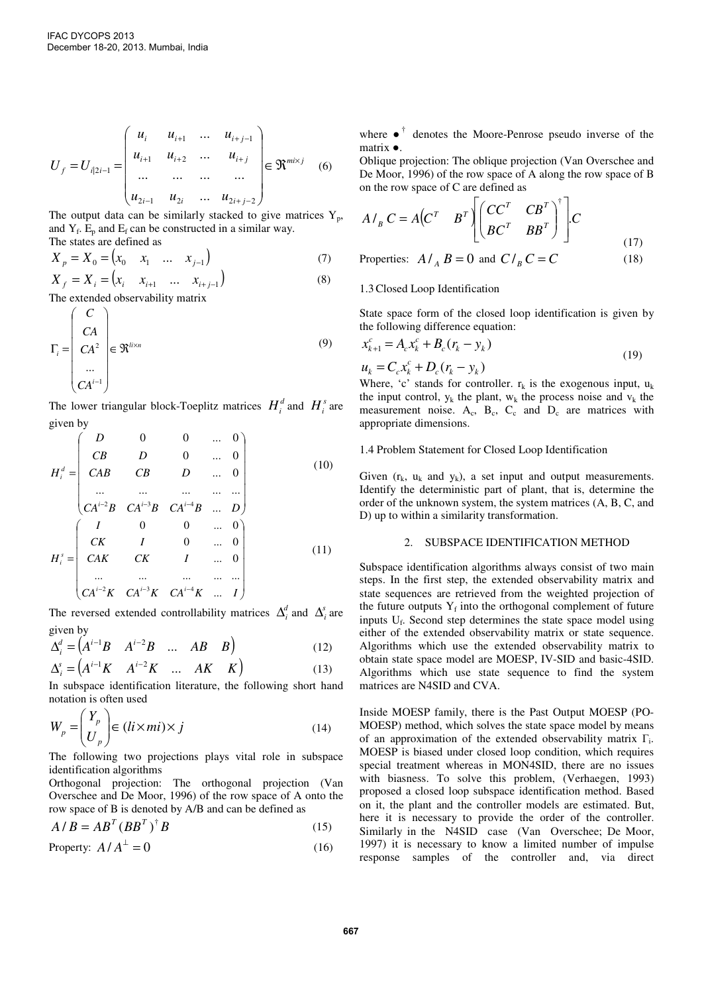$$
U_{f} = U_{i|2i-1} = \begin{pmatrix} u_{i} & u_{i+1} & \dots & u_{i+j-1} \\ u_{i+1} & u_{i+2} & \dots & u_{i+j} \\ \dots & \dots & \dots & \dots \\ u_{2i-1} & u_{2i} & \dots & u_{2i+j-2} \end{pmatrix} \in \mathfrak{R}^{mixj}
$$
 (6)

The output data can be similarly stacked to give matrices  $Y_p$ , and  $Y_f$ .  $E_p$  and  $E_f$  can be constructed in a similar way. The states are defined as

$$
X_{p} = X_{0} = (x_{0} \quad x_{1} \quad \dots \quad x_{j-1})
$$
\n
$$
X_{p} = X_{0} = (x_{0} \quad x_{j-1})
$$
\n(7)

$$
X_{f} = X_{i} = (x_{i} \quad x_{i+1} \quad \dots \quad x_{i+j-1})
$$
\n
$$
(8)
$$
\nThe extended observability matrix

The extended observability matrix

$$
\Gamma_{i} = \begin{pmatrix} C \\ CA \\ CA^2 \\ \vdots \\ CA^{i-1} \end{pmatrix} \in \mathfrak{R}^{l \times n}
$$
\n(9)

The lower triangular block-Toeplitz matrices  $H_i^d$  and  $H_i^s$  are given by

$$
H_{i}^{d} = \begin{pmatrix} D & 0 & 0 & \dots & 0 \\ CB & D & 0 & \dots & 0 \\ CAB & CB & D & \dots & 0 \\ \dots & \dots & \dots & \dots & \dots \\ CA^{i-2}B & CA^{i-3}B & CA^{i-4}B & \dots & D \end{pmatrix}
$$
 (10)  

$$
H_{i}^{s} = \begin{pmatrix} I & 0 & 0 & \dots & 0 \\ CK & I & 0 & \dots & 0 \\ CAK & CK & I & \dots & 0 \\ \dots & \dots & \dots & \dots & \dots \\ CA^{i-2}K & CA^{i-3}K & CA^{i-4}K & \dots & I \end{pmatrix}
$$
 (11)

The reversed extended controllability matrices  $\Delta_i^d$  and  $\Delta_i^s$  are given by

$$
\Delta_i^d = \begin{pmatrix} A^{i-1}B & A^{i-2}B & \dots & AB & B \end{pmatrix}
$$
 (12)

$$
\Delta_i^s = \begin{pmatrix} A^{i-1}K & A^{i-2}K & \dots & AK & K \end{pmatrix}
$$
 (13)

In subspace identification literature, the following short hand notation is often used

$$
W_p = \begin{pmatrix} Y_p \\ U_p \end{pmatrix} \in (li \times mi) \times j \tag{14}
$$

The following two projections plays vital role in subspace identification algorithms

Orthogonal projection: The orthogonal projection (Van Overschee and De Moor, 1996) of the row space of A onto the row space of B is denoted by A/B and can be defined as

$$
A/B = AB^{T} (BB^{T})^{\dagger} B \tag{15}
$$

Property: 
$$
A/A^{\perp} = 0
$$
 (16)

where  $\bullet$ <sup>†</sup> denotes the Moore-Penrose pseudo inverse of the matrix ●.

Oblique projection: The oblique projection (Van Overschee and De Moor, 1996) of the row space of A along the row space of B on the row space of C are defined as

$$
A/_{B} C = A \begin{pmatrix} C^{T} & B^{T} \end{pmatrix} \begin{bmatrix} C C^{T} & C B^{T} \\ B C^{T} & B B^{T} \end{bmatrix}^{\dagger} \begin{bmatrix} C \\ C \end{bmatrix}
$$
\n(17)

Properties: 
$$
A /_{A} B = 0
$$
 and  $C /_{B} C = C$  (18)

## 1.3Closed Loop Identification

State space form of the closed loop identification is given by the following difference equation:

$$
x_{k+1}^{c} = A_{c}x_{k}^{c} + B_{c}(r_{k} - y_{k})
$$
  

$$
u_{k} = C_{c}x_{k}^{c} + D_{c}(r_{k} - y_{k})
$$
 (19)

Where, 'c' stands for controller.  $r_k$  is the exogenous input,  $u_k$ the input control,  $y_k$  the plant,  $w_k$  the process noise and  $v_k$  the measurement noise.  $A_c$ ,  $B_c$ ,  $C_c$  and  $D_c$  are matrices with appropriate dimensions.

#### 1.4 Problem Statement for Closed Loop Identification

Given  $(r_k, u_k, \text{ and } v_k)$ , a set input and output measurements. Identify the deterministic part of plant, that is, determine the order of the unknown system, the system matrices (A, B, C, and D) up to within a similarity transformation.

## 2. SUBSPACE IDENTIFICATION METHOD

Subspace identification algorithms always consist of two main steps. In the first step, the extended observability matrix and state sequences are retrieved from the weighted projection of the future outputs  $Y_f$  into the orthogonal complement of future inputs  $U_f$ . Second step determines the state space model using either of the extended observability matrix or state sequence. Algorithms which use the extended observability matrix to obtain state space model are MOESP, IV-SID and basic-4SID. Algorithms which use state sequence to find the system matrices are N4SID and CVA.

Inside MOESP family, there is the Past Output MOESP (PO-MOESP) method, which solves the state space model by means of an approximation of the extended observability matrix Γ<sup>i</sup> . MOESP is biased under closed loop condition, which requires special treatment whereas in MON4SID, there are no issues with biasness. To solve this problem, (Verhaegen, 1993) proposed a closed loop subspace identification method. Based on it, the plant and the controller models are estimated. But, here it is necessary to provide the order of the controller. Similarly in the N4SID case (Van Overschee; De Moor, 1997) it is necessary to know a limited number of impulse response samples of the controller and, via direct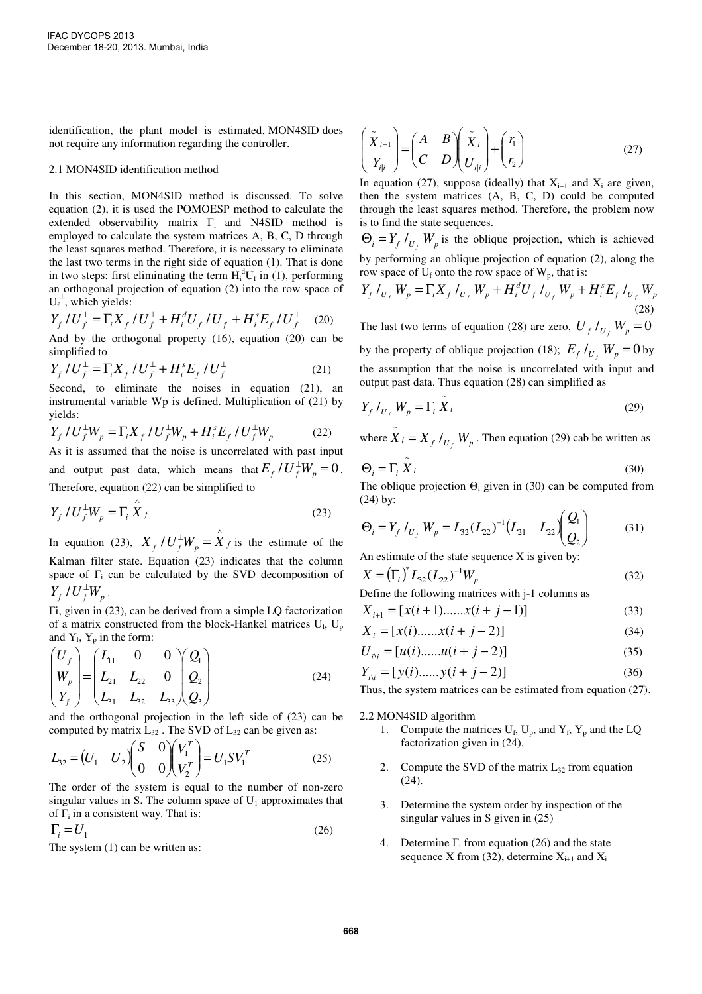identification, the plant model is estimated. MON4SID does not require any information regarding the controller.

### 2.1 MON4SID identification method

In this section, MON4SID method is discussed. To solve equation (2), it is used the POMOESP method to calculate the extended observability matrix  $\Gamma_i$  and N4SID method is employed to calculate the system matrices A, B, C, D through the least squares method. Therefore, it is necessary to eliminate the last two terms in the right side of equation (1). That is done in two steps: first eliminating the term  $H_i^dU_f$  in (1), performing an orthogonal projection of equation (2) into the row space of  $U_f^{\perp}$ , which yields:

$$
Y_{f}/U_{f}^{\perp} = \Gamma_{i} X_{f}/U_{f}^{\perp} + H_{i}^{d} U_{f}/U_{f}^{\perp} + H_{i}^{s} E_{f}/U_{f}^{\perp}
$$
 (20)

And by the orthogonal property (16), equation (20) can be simplified to

$$
Y_{f}/U_{f}^{\perp} = \Gamma_{i} X_{f}/U_{f}^{\perp} + H_{i}^{s} E_{f}/U_{f}^{\perp}
$$
 (21)

Second, to eliminate the noises in equation (21), an instrumental variable Wp is defined. Multiplication of (21) by yields:

$$
Y_{f} / U_{f}^{\perp} W_{p} = \Gamma_{i} X_{f} / U_{f}^{\perp} W_{p} + H_{i}^{s} E_{f} / U_{f}^{\perp} W_{p}
$$
 (22)

As it is assumed that the noise is uncorrelated with past input and output past data, which means that  $E_f / U_f^{\perp} W_p = 0$ . Therefore, equation (22) can be simplified to

$$
Y_f \, / \, U_f^{\perp} W_p = \Gamma_i \, \overset{\wedge}{X} \, f \tag{23}
$$

In equation (23),  $X_f / U_f^{\perp} W_p = \hat{X}_f$  is the estimate of the Kalman filter state. Equation (23) indicates that the column space of  $\Gamma$ <sub>i</sub> can be calculated by the SVD decomposition of  $Y_f U_f^{\perp} W_p$ .

Γi, given in (23), can be derived from a simple LQ factorization of a matrix constructed from the block-Hankel matrices  $U_f$ ,  $U_p$ and  $Y_f$ ,  $Y_p$  in the form:

$$
\begin{pmatrix} U_f \\ W_p \\ Y_f \end{pmatrix} = \begin{pmatrix} L_{11} & 0 & 0 \\ L_{21} & L_{22} & 0 \\ L_{31} & L_{32} & L_{33} \end{pmatrix} \begin{pmatrix} Q_1 \\ Q_2 \\ Q_3 \end{pmatrix}
$$
 (24)

and the orthogonal projection in the left side of (23) can be computed by matrix  $L_{32}$ . The SVD of  $L_{32}$  can be given as:

$$
L_{32} = (U_1 \quad U_2) \begin{pmatrix} S & 0 \\ 0 & 0 \end{pmatrix} \begin{pmatrix} V_1^T \\ V_2^T \end{pmatrix} = U_1 S V_1^T \tag{25}
$$

The order of the system is equal to the number of non-zero singular values in S. The column space of  $U_1$  approximates that of  $\overline{\Gamma}_i$  in a consistent way. That is:

$$
\Gamma_i = U_1 \tag{26}
$$

The system  $(1)$  can be written as:

$$
\begin{pmatrix} \tilde{X}_{i+1} \\ Y_{i|i} \end{pmatrix} = \begin{pmatrix} A & B \\ C & D \end{pmatrix} \begin{pmatrix} \tilde{X}_i \\ U_{i|i} \end{pmatrix} + \begin{pmatrix} r_1 \\ r_2 \end{pmatrix}
$$
 (27)

In equation (27), suppose (ideally) that  $X_{i+1}$  and  $X_i$  are given, then the system matrices (A, B, C, D) could be computed through the least squares method. Therefore, the problem now is to find the state sequences.

 $\Theta_i = Y_f /_{U_f} W_p$  is the oblique projection, which is achieved by performing an oblique projection of equation (2), along the row space of  $U_f$  onto the row space of  $W_p$ , that is:

$$
Y_f I_{U_f} W_p = \Gamma_i X_f I_{U_f} W_p + H_i^d U_f I_{U_f} W_p + H_i^s E_f I_{U_f} W_p
$$
\n(28)

The last two terms of equation (28) are zero,  $U_f /_{U_f} W_p = 0$ by the property of oblique projection (18);  $E_f /_{U_f} W_p = 0$  by the assumption that the noise is uncorrelated with input and output past data. Thus equation (28) can simplified as

$$
Y_f I_{U_f} W_p = \Gamma_i \tilde{X}_i
$$
 (29)

where  $\tilde{X}_i = X_f /_{U_f} W_p$ . Then equation (29) cab be written as

$$
\Theta_i = \Gamma_i \tilde{X}_i \tag{30}
$$

The oblique projection  $\Theta_i$  given in (30) can be computed from (24) by:

$$
\Theta_i = Y_f I_{U_f} W_p = L_{32} (L_{22})^{-1} (L_{21} L_{22}) \begin{pmatrix} Q_1 \\ Q_2 \end{pmatrix}
$$
 (31)

An estimate of the state sequence X is given by:

$$
X = (\Gamma_i)^* L_{32} (L_{22})^{-1} W_p
$$
  
Define the following matrices with i-1 columns as

$$
X_{i+1} = [x(i+1) \dots x(i+j-1)] \tag{33}
$$

$$
X_i = [x(i) \dots x(i + j - 2)] \tag{34}
$$

$$
U_{i\lambda i} = [u(i) \dots u(i+j-2)] \tag{35}
$$

$$
Y_{i\lambda} = [y(i) \dots y(i+j-2)] \tag{36}
$$

Thus, the system matrices can be estimated from equation (27).

## 2.2 MON4SID algorithm

- 1. Compute the matrices  $U_f$ ,  $U_p$ , and  $Y_f$ ,  $Y_p$  and the LQ factorization given in (24).
- 2. Compute the SVD of the matrix  $L_{32}$  from equation (24).
- 3. Determine the system order by inspection of the singular values in S given in (25)
- 4. Determine  $\Gamma_i$  from equation (26) and the state sequence X from (32), determine  $X_{i+1}$  and  $X_i$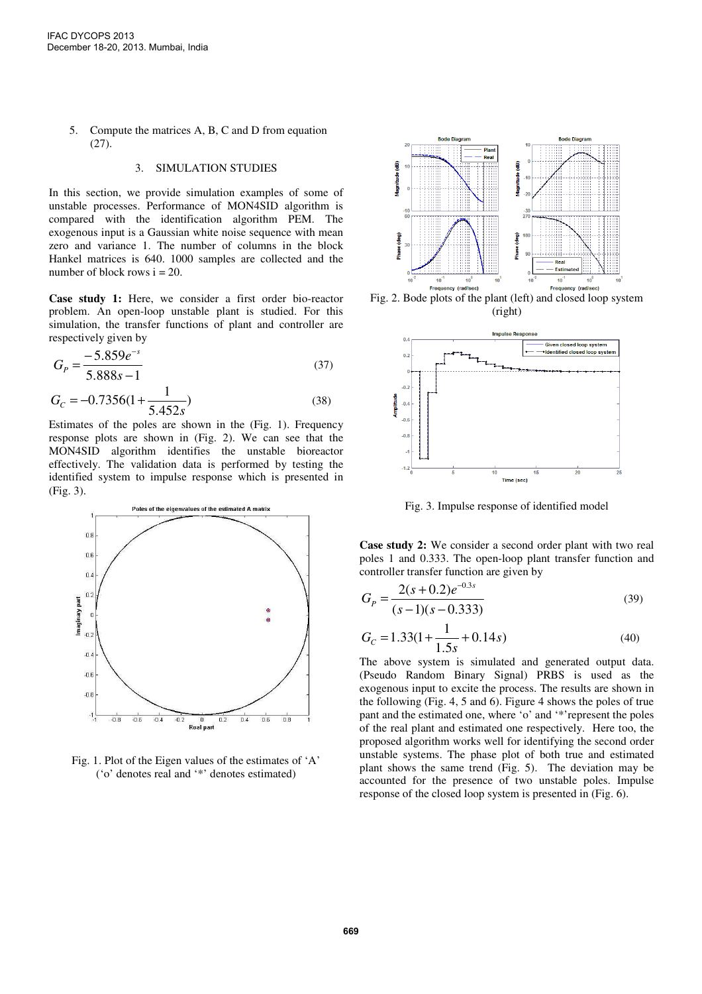5. Compute the matrices A, B, C and D from equation (27).

## 3. SIMULATION STUDIES

In this section, we provide simulation examples of some of unstable processes. Performance of MON4SID algorithm is compared with the identification algorithm PEM. The exogenous input is a Gaussian white noise sequence with mean zero and variance 1. The number of columns in the block Hankel matrices is 640. 1000 samples are collected and the number of block rows  $i = 20$ .

**Case study 1:** Here, we consider a first order bio-reactor problem. An open-loop unstable plant is studied. For this simulation, the transfer functions of plant and controller are respectively given by

$$
G_p = \frac{-5.859e^{-s}}{5.888s - 1}
$$
\n(37)

$$
G_C = -0.7356(1 + \frac{1}{5.452s})
$$
\n(38)

Estimates of the poles are shown in the (Fig. 1). Frequency response plots are shown in (Fig. 2). We can see that the MON4SID algorithm identifies the unstable bioreactor effectively. The validation data is performed by testing the identified system to impulse response which is presented in (Fig. 3).



Fig. 1. Plot of the Eigen values of the estimates of 'A' ('o' denotes real and '\*' denotes estimated)



Fig. 2. Bode plots of the plant (left) and closed loop system (right)



Fig. 3. Impulse response of identified model

**Case study 2:** We consider a second order plant with two real poles 1 and 0.333. The open-loop plant transfer function and controller transfer function are given by

$$
G_p = \frac{2(s+0.2)e^{-0.3s}}{(s-1)(s-0.333)}
$$
(39)

$$
G_C = 1.33(1 + \frac{1}{1.5s} + 0.14s)
$$
\n(40)

The above system is simulated and generated output data. (Pseudo Random Binary Signal) PRBS is used as the exogenous input to excite the process. The results are shown in the following (Fig. 4, 5 and 6). Figure 4 shows the poles of true pant and the estimated one, where 'o' and '\*'represent the poles of the real plant and estimated one respectively. Here too, the proposed algorithm works well for identifying the second order unstable systems. The phase plot of both true and estimated plant shows the same trend (Fig. 5). The deviation may be accounted for the presence of two unstable poles. Impulse response of the closed loop system is presented in (Fig. 6).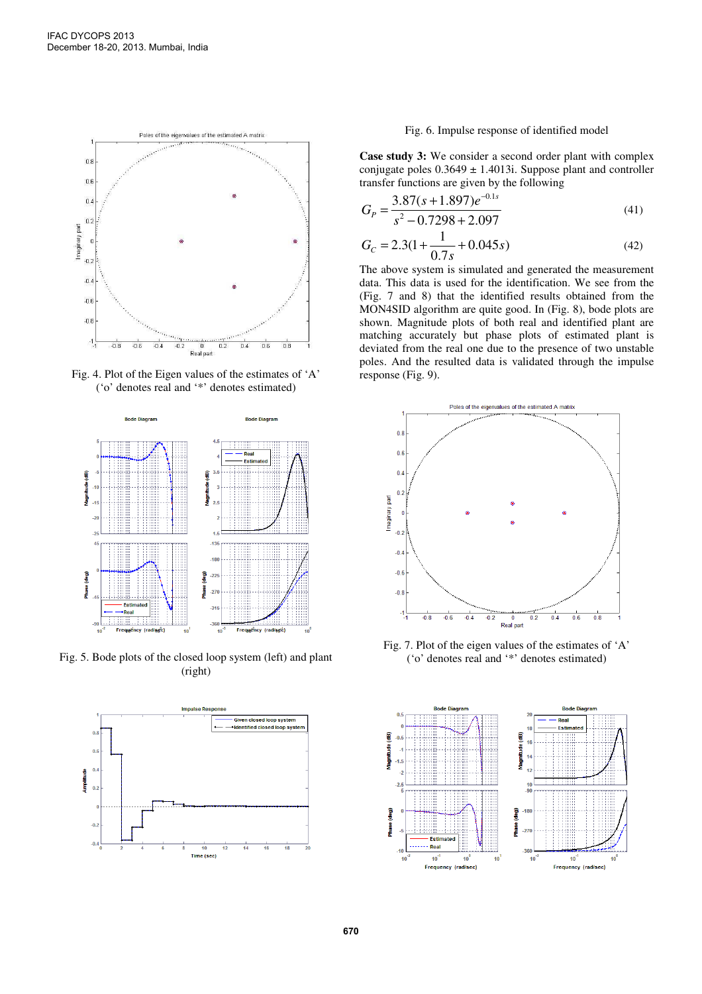

Fig. 4. Plot of the Eigen values of the estimates of 'A' ('o' denotes real and '\*' denotes estimated)



Fig. 5. Bode plots of the closed loop system (left) and plant (right)



# Fig. 6. Impulse response of identified model

**Case study 3:** We consider a second order plant with complex conjugate poles  $0.3649 \pm 1.4013$ i. Suppose plant and controller transfer functions are given by the following

$$
G_p = \frac{3.87(s + 1.897)e^{-0.1s}}{s^2 - 0.7298 + 2.097}
$$
\n(41)

$$
G_C = 2.3(1 + \frac{1}{0.7s} + 0.045s)
$$
\n(42)

The above system is simulated and generated the measurement data. This data is used for the identification. We see from the (Fig. 7 and 8) that the identified results obtained from the MON4SID algorithm are quite good. In (Fig. 8), bode plots are shown. Magnitude plots of both real and identified plant are matching accurately but phase plots of estimated plant is deviated from the real one due to the presence of two unstable poles. And the resulted data is validated through the impulse response (Fig. 9).



Fig. 7. Plot of the eigen values of the estimates of 'A' ('o' denotes real and '\*' denotes estimated)